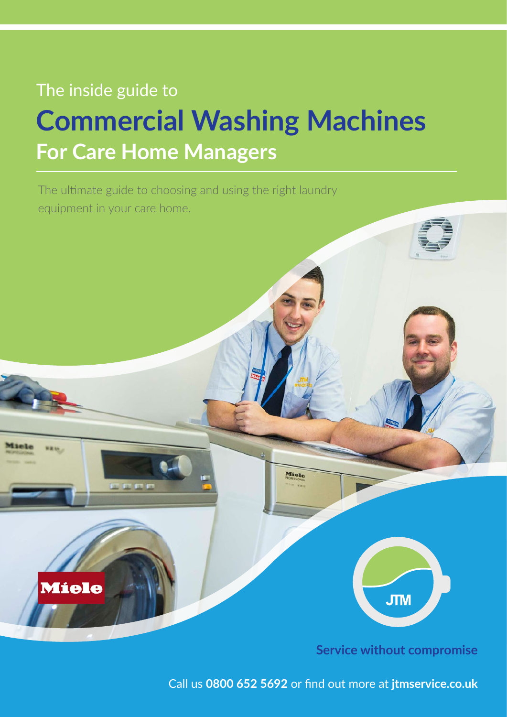# The inside guide to **Commercial Washing Machines For Care Home Managers**

The ultimate guide to choosing and using the right laundry equipment in your care home.



**Service without compromise**

Call us **0800 652 5692** or find out more at **jtmservice.co.uk**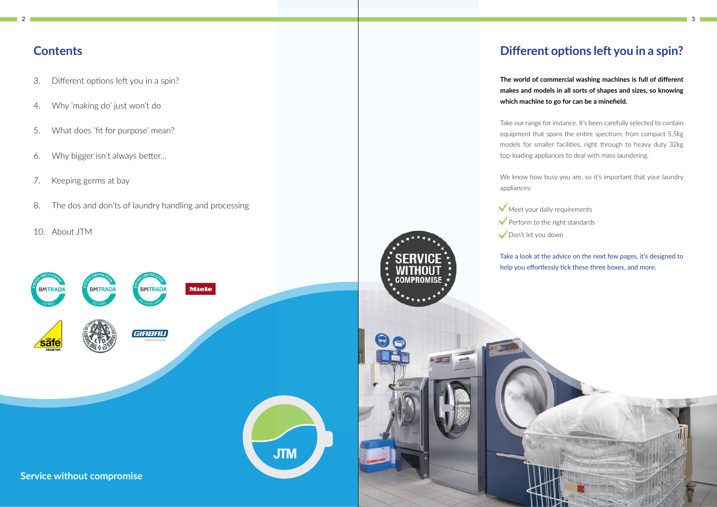

# **Different options left you in a spin?**

**The world of commercial washing machines is full of different makes and models in all sorts of shapes and sizes, so knowing which machine to go for can be a minefield.**

Take our range for instance. It's been carefully selected to contain equipment that spans the entire spectrum, from compact 5.5kg models for smaller facilities, right through to heavy duty 32kg top-loading appliances to deal with mass laundering.

We know how busy you are, so it's important that your laundry

- Meet your daily requirements
	-
	-

appliances:

 $\blacktriangleright$  Perform to the right standards Don't let you down

Take a look at the advice on the next few pages, it's designed to help you effortlessly tick these three boxes, and more.



## **Contents**

- 3. Different options left you in a spin?
- 4. Why 'making do' just won't do
- 5. What does 'fit for purpose' mean?
- 6. Why bigger isn't always better...
- 7. Keeping germs at bay
- 8. The dos and don'ts of laundry handling and processing
- 10. About JTM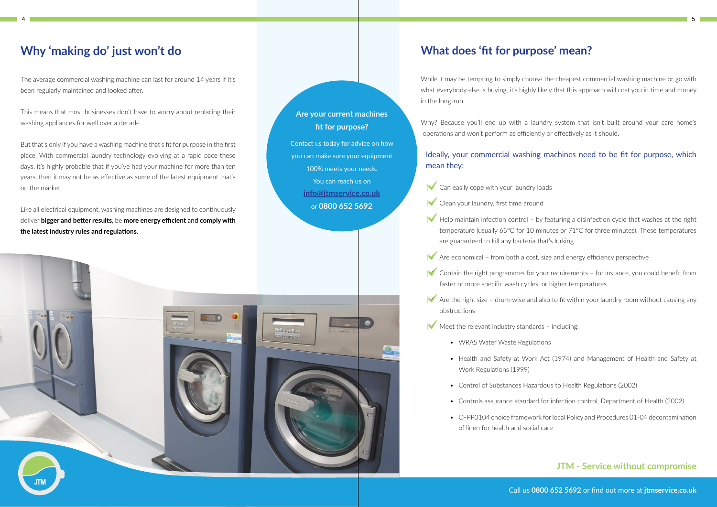#### **JTM - Service without compromise**

# **Why 'making do' just won't do**

The average commercial washing machine can last for around 14 years if it's been regularly maintained and looked after.

This means that most businesses don't have to worry about replacing their washing appliances for well over a decade.

But that's only if you have a washing machine that's fit for purpose in the first place. With commercial laundry technology evolving at a rapid pace these days, it's highly probable that if you've had your machine for more than ten years, then it may not be as effective as some of the latest equipment that's on the market.

Why? Because you'll end up with a laundry system that isn't built around your care home's operations and won't perform as efficiently or effectively as it should.

Like all electrical equipment, washing machines are designed to continuously deliver **bigger and better results**, be **more energy efficient** and **comply with the latest industry rules and regulations**.

 $\blacktriangleright$  Help maintain infection control – by featuring a disinfection cycle that washes at the right temperature (usually 65°C for 10 minutes or 71°C for three minutes). These temperatures

 $\blacktriangleright$  Contain the right programmes for your requirements – for instance, you could benefit from

 $\blacktriangleright$  Are the right size – drum-wise and also to fit within your laundry room without causing any

• Health and Safety at Work Act (1974) and Management of Health and Safety at

• Control of Substances Hazardous to Health Regulations (2002)

• Controls assurance standard for infection control, Department of Health (2002)

• CFPP0104 choice framework for local Policy and Procedures 01-04 decontamination



While it may be tempting to simply choose the cheapest commercial washing machine or go with what everybody else is buying, it's highly likely that this approach will cost you in time and money in the long-run.

- $\blacktriangleright$  Can easily cope with your laundry loads
- $\blacktriangleright$  Clean your laundry, first time around
- are guaranteed to kill any bacteria that's lurking
- $\blacktriangleright$  Are economical from both a cost, size and energy efficiency perspective
- faster or more specific wash cycles, or higher temperatures
- obstructions
- $\blacktriangleright$  Meet the relevant industry standards including:
	- WRAS Water Waste Regulations
	- Work Regulations (1999)
	-
	-
	- of linen for health and social care



**Xtialls** 

Ideally, your commercial washing machines need to be fit for purpose, which

# mean they:

Call us **0800 652 5692** or find out more at **jtmservice.co.uk**

#### **Are your current machines fit for purpose?**

Contact us today for advice on how you can make sure your equipment 100% meets your needs. You can reach us on **info@jtmservice.co.uk**  or **0800 652 5692**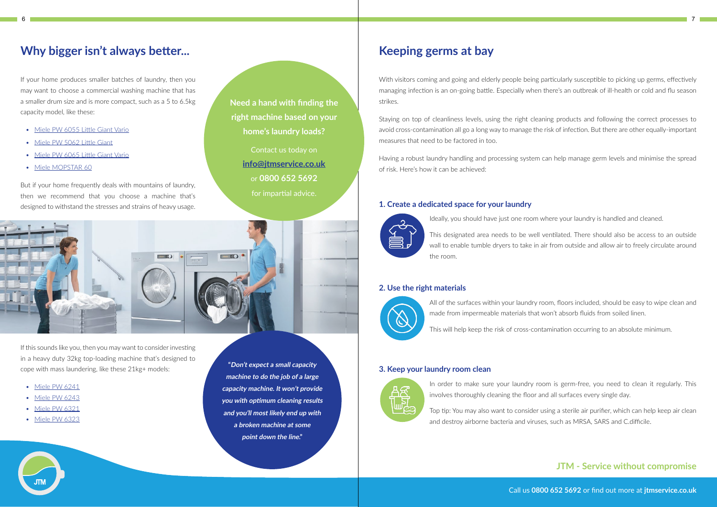Call us **0800 652 5692** or find out more at **jtmservice.co.uk**

# **Why bigger isn't always better...**

If your home produces smaller batches of laundry, then you may want to choose a commercial washing machine that has a smaller drum size and is more compact, such as a 5 to 6.5kg capacity model, like these:

- Miele PW 6055 Little Giant Vario
- Miele PW 5062 Little Giant
- Miele PW 6065 Little Giant Vario
- Miele MOPSTAR 60

With visitors coming and going and elderly people being particularly susceptible to picking up germs, effectively managing infection is an on-going battle. Especially when there's an outbreak of ill-health or cold and flu season strikes.

But if your home frequently deals with mountains of laundry, then we recommend that you choose a machine that's designed to withstand the stresses and strains of heavy usage.

# **Keeping germs at bay**

Staying on top of cleanliness levels, using the right cleaning products and following the correct processes to avoid cross-contamination all go a long way to manage the risk of infection. But there are other equally-important measures that need to be factored in too.

Having a robust laundry handling and processing system can help manage germ levels and minimise the spread of risk. Here's how it can be achieved:

#### **1. Create a dedicated space for your laundry**



Ideally, you should have just one room where your laundry is handled and cleaned.

This designated area needs to be well ventilated. There should also be access to an outside wall to enable tumble dryers to take in air from outside and allow air to freely circulate around the room.

#### **2. Use the right materials**



All of the surfaces within your laundry room, floors included, should be easy to wipe clean and made from impermeable materials that won't absorb fluids from soiled linen.

This will help keep the risk of cross-contamination occurring to an absolute minimum.

#### **3. Keep your laundry room clean**



In order to make sure your laundry room is germ-free, you need to clean it regularly. This involves thoroughly cleaning the floor and all surfaces every single day.

Top tip: You may also want to consider using a sterile air purifier, which can help keep air clean and destroy airborne bacteria and viruses, such as MRSA, SARS and C.difficile.

### **JTM - Service without compromise**

If this sounds like you, then you may want to consider investing in a heavy duty 32kg top-loading machine that's designed to cope with mass laundering, like these 21kg+ models:

- Miele PW 6241
- Miele PW 6243
- Miele PW 6321
- Miele PW 6323

**Need a hand with finding the right machine based on your home's laundry loads?**

> Contact us today on **info@jtmservice.co.uk**  or **0800 652 5692**  for impartial advice.



**"Don't expect a small capacity machine to do the job of a large capacity machine. It won't provide you with optimum cleaning results and you'll most likely end up with a broken machine at some point down the line."**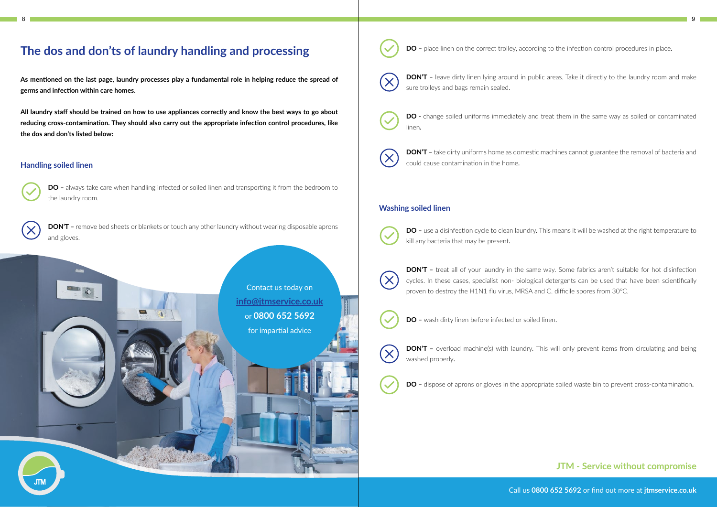# **The dos and don'ts of laundry handling and processing**

**As mentioned on the last page, laundry processes play a fundamental role in helping reduce the spread of germs and infection within care homes.**

**DO** – always take care when handling infected or soiled linen and transporting it from the bedroom to the laundry room.

**All laundry staff should be trained on how to use appliances correctly and know the best ways to go about reducing cross-contamination. They should also carry out the appropriate infection control procedures, like the dos and don'ts listed below:**

**DON'T** – remove bed sheets or blankets or touch any other laundry without wearing disposable aprons and gloves.

#### **Handling soiled linen**

**DON'T** – leave dirty linen lying around in public areas. Take it directly to the laundry room and make sure trolleys and bags remain sealed.



**DON'T** – take dirty uniforms home as domestic machines cannot guarantee the removal of bacteria and could cause contamination in the home.

**DO** – use a disinfection cycle to clean laundry. This means it will be washed at the right temperature to kill any bacteria that may be present.

**DON'T** – treat all of your laundry in the same way. Some fabrics aren't suitable for hot disinfection cycles. In these cases, specialist non- biological detergents can be used that have been scientifically

**DON'T** – overload machine(s) with laundry. This will only prevent items from circulating and being washed properly.



**DO** – dispose of aprons or gloves in the appropriate soiled waste bin to prevent cross-contamination.

**DO** - change soiled uniforms immediately and treat them in the same way as soiled or contaminated

linen.



#### **Washing soiled linen**



proven to destroy the H1N1 flu virus, MRSA and C. difficile spores from 30°C.



**DO** – wash dirty linen before infected or soiled linen.

#### **JTM - Service without compromise**

Call us **0800 652 5692** or find out more at **jtmservice.co.uk**

Contact us today on **info@jtmservice.co.uk**  or **0800 652 5692**  for impartial advice



**DO** - place linen on the correct trolley, according to the infection control procedures in place.